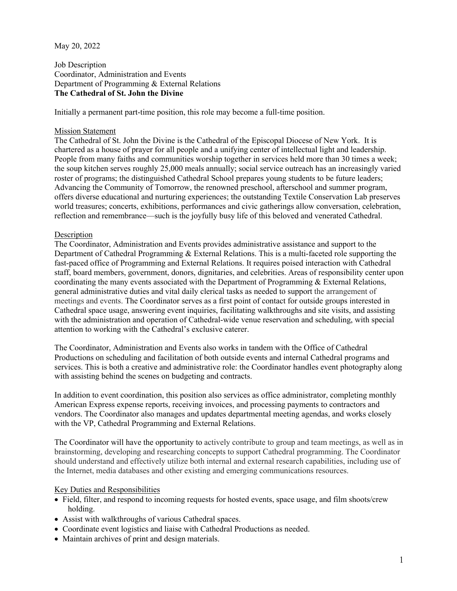## May 20, 2022

Job Description Coordinator, Administration and Events Department of Programming & External Relations **The Cathedral of St. John the Divine**

Initially a permanent part-time position, this role may become a full-time position.

## Mission Statement

The Cathedral of St. John the Divine is the Cathedral of the Episcopal Diocese of New York. It is chartered as a house of prayer for all people and a unifying center of intellectual light and leadership. People from many faiths and communities worship together in services held more than 30 times a week; the soup kitchen serves roughly 25,000 meals annually; social service outreach has an increasingly varied roster of programs; the distinguished Cathedral School prepares young students to be future leaders; Advancing the Community of Tomorrow, the renowned preschool, afterschool and summer program, offers diverse educational and nurturing experiences; the outstanding Textile Conservation Lab preserves world treasures; concerts, exhibitions, performances and civic gatherings allow conversation, celebration, reflection and remembrance—such is the joyfully busy life of this beloved and venerated Cathedral.

## Description

The Coordinator, Administration and Events provides administrative assistance and support to the Department of Cathedral Programming & External Relations. This is a multi-faceted role supporting the fast-paced office of Programming and External Relations. It requires poised interaction with Cathedral staff, board members, government, donors, dignitaries, and celebrities. Areas of responsibility center upon coordinating the many events associated with the Department of Programming & External Relations, general administrative duties and vital daily clerical tasks as needed to support the arrangement of meetings and events. The Coordinator serves as a first point of contact for outside groups interested in Cathedral space usage, answering event inquiries, facilitating walkthroughs and site visits, and assisting with the administration and operation of Cathedral-wide venue reservation and scheduling, with special attention to working with the Cathedral's exclusive caterer.

The Coordinator, Administration and Events also works in tandem with the Office of Cathedral Productions on scheduling and facilitation of both outside events and internal Cathedral programs and services. This is both a creative and administrative role: the Coordinator handles event photography along with assisting behind the scenes on budgeting and contracts.

In addition to event coordination, this position also services as office administrator, completing monthly American Express expense reports, receiving invoices, and processing payments to contractors and vendors. The Coordinator also manages and updates departmental meeting agendas, and works closely with the VP, Cathedral Programming and External Relations.

The Coordinator will have the opportunity to actively contribute to group and team meetings, as well as in brainstorming, developing and researching concepts to support Cathedral programming. The Coordinator should understand and effectively utilize both internal and external research capabilities, including use of the Internet, media databases and other existing and emerging communications resources.

## Key Duties and Responsibilities

- Field, filter, and respond to incoming requests for hosted events, space usage, and film shoots/crew holding.
- Assist with walkthroughs of various Cathedral spaces.
- Coordinate event logistics and liaise with Cathedral Productions as needed.
- Maintain archives of print and design materials.